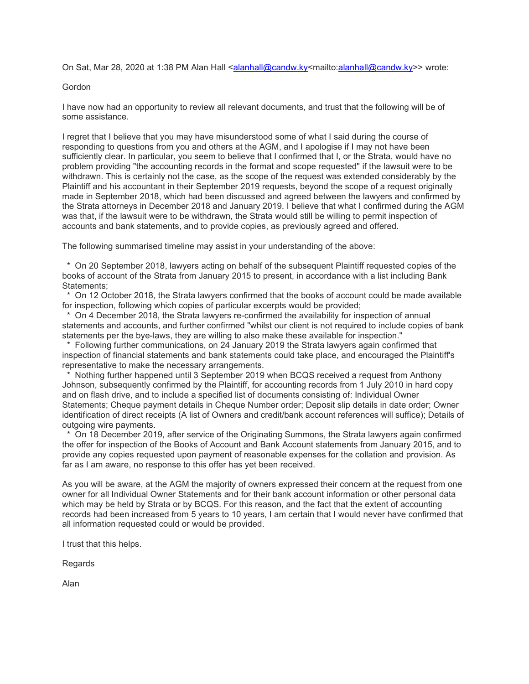On Sat, Mar 28, 2020 at 1:38 PM Alan Hall <alanhall@candw.ky<mailto:alanhall@candw.ky>> wrote:

## Gordon

I have now had an opportunity to review all relevant documents, and trust that the following will be of some assistance.

I regret that I believe that you may have misunderstood some of what I said during the course of responding to questions from you and others at the AGM, and I apologise if I may not have been sufficiently clear. In particular, you seem to believe that I confirmed that I, or the Strata, would have no problem providing "the accounting records in the format and scope requested" if the lawsuit were to be withdrawn. This is certainly not the case, as the scope of the request was extended considerably by the Plaintiff and his accountant in their September 2019 requests, beyond the scope of a request originally made in September 2018, which had been discussed and agreed between the lawyers and confirmed by the Strata attorneys in December 2018 and January 2019. I believe that what I confirmed during the AGM was that, if the lawsuit were to be withdrawn, the Strata would still be willing to permit inspection of accounts and bank statements, and to provide copies, as previously agreed and offered.

The following summarised timeline may assist in your understanding of the above:

 \* On 20 September 2018, lawyers acting on behalf of the subsequent Plaintiff requested copies of the books of account of the Strata from January 2015 to present, in accordance with a list including Bank Statements;

 \* On 12 October 2018, the Strata lawyers confirmed that the books of account could be made available for inspection, following which copies of particular excerpts would be provided;

 \* On 4 December 2018, the Strata lawyers re-confirmed the availability for inspection of annual statements and accounts, and further confirmed "whilst our client is not required to include copies of bank statements per the bye-laws, they are willing to also make these available for inspection."

 \* Following further communications, on 24 January 2019 the Strata lawyers again confirmed that inspection of financial statements and bank statements could take place, and encouraged the Plaintiff's representative to make the necessary arrangements.

 \* Nothing further happened until 3 September 2019 when BCQS received a request from Anthony Johnson, subsequently confirmed by the Plaintiff, for accounting records from 1 July 2010 in hard copy and on flash drive, and to include a specified list of documents consisting of: Individual Owner Statements; Cheque payment details in Cheque Number order; Deposit slip details in date order; Owner identification of direct receipts (A list of Owners and credit/bank account references will suffice); Details of outgoing wire payments.

 \* On 18 December 2019, after service of the Originating Summons, the Strata lawyers again confirmed the offer for inspection of the Books of Account and Bank Account statements from January 2015, and to provide any copies requested upon payment of reasonable expenses for the collation and provision. As far as I am aware, no response to this offer has yet been received.

As you will be aware, at the AGM the majority of owners expressed their concern at the request from one owner for all Individual Owner Statements and for their bank account information or other personal data which may be held by Strata or by BCQS. For this reason, and the fact that the extent of accounting records had been increased from 5 years to 10 years, I am certain that I would never have confirmed that all information requested could or would be provided.

I trust that this helps.

Regards

Alan